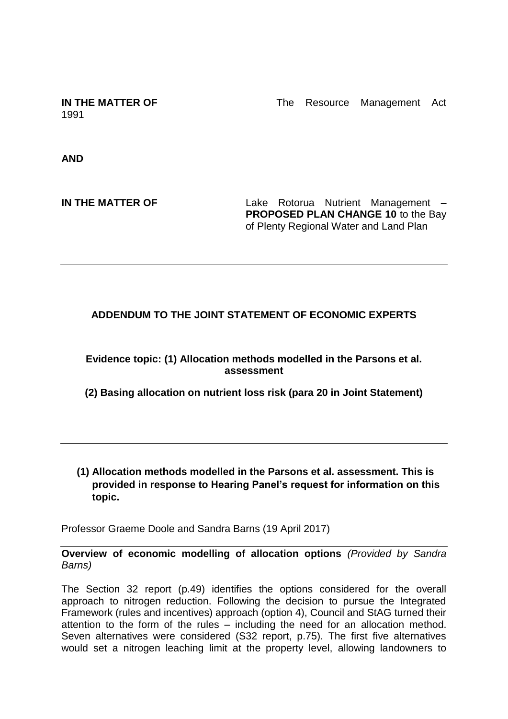1991

**IN THE MATTER OF The Resource Management Act** 

**AND**

**IN THE MATTER OF THE Lake Rotorua Nutrient Management – PROPOSED PLAN CHANGE 10** to the Bay of Plenty Regional Water and Land Plan

## **ADDENDUM TO THE JOINT STATEMENT OF ECONOMIC EXPERTS**

**Evidence topic: (1) Allocation methods modelled in the Parsons et al. assessment** 

**(2) Basing allocation on nutrient loss risk (para 20 in Joint Statement)**

**(1) Allocation methods modelled in the Parsons et al. assessment. This is provided in response to Hearing Panel's request for information on this topic.**

Professor Graeme Doole and Sandra Barns (19 April 2017)

**Overview of economic modelling of allocation options** *(Provided by Sandra Barns)*

The Section 32 report (p.49) identifies the options considered for the overall approach to nitrogen reduction. Following the decision to pursue the Integrated Framework (rules and incentives) approach (option 4), Council and StAG turned their attention to the form of the rules – including the need for an allocation method. Seven alternatives were considered (S32 report, p.75). The first five alternatives would set a nitrogen leaching limit at the property level, allowing landowners to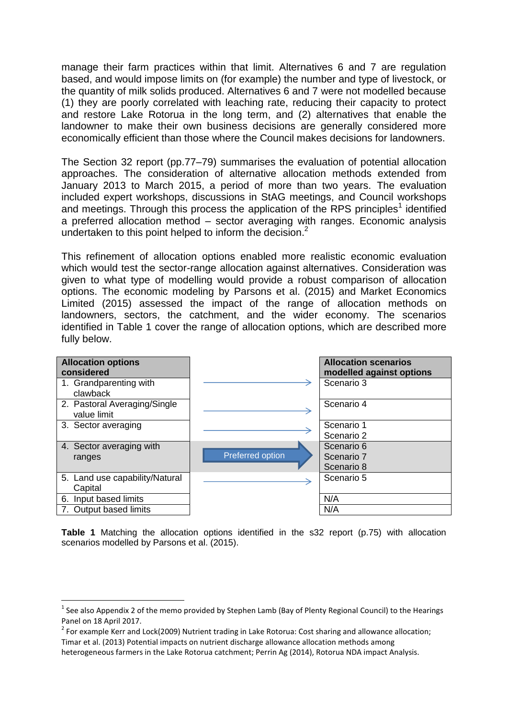manage their farm practices within that limit. Alternatives 6 and 7 are regulation based, and would impose limits on (for example) the number and type of livestock, or the quantity of milk solids produced. Alternatives 6 and 7 were not modelled because (1) they are poorly correlated with leaching rate, reducing their capacity to protect and restore Lake Rotorua in the long term, and (2) alternatives that enable the landowner to make their own business decisions are generally considered more economically efficient than those where the Council makes decisions for landowners.

The Section 32 report (pp.77–79) summarises the evaluation of potential allocation approaches. The consideration of alternative allocation methods extended from January 2013 to March 2015, a period of more than two years. The evaluation included expert workshops, discussions in StAG meetings, and Council workshops and meetings. Through this process the application of the RPS principles<sup>1</sup> identified a preferred allocation method – sector averaging with ranges. Economic analysis undertaken to this point helped to inform the decision.<sup>2</sup>

This refinement of allocation options enabled more realistic economic evaluation which would test the sector-range allocation against alternatives. Consideration was given to what type of modelling would provide a robust comparison of allocation options. The economic modeling by Parsons et al. (2015) and Market Economics Limited (2015) assessed the impact of the range of allocation methods on landowners, sectors, the catchment, and the wider economy. The scenarios identified in Table 1 cover the range of allocation options, which are described more fully below.

| <b>Allocation options</b><br>considered     |                  | <b>Allocation scenarios</b><br>modelled against options |
|---------------------------------------------|------------------|---------------------------------------------------------|
| 1. Grandparenting with<br>clawback          |                  | Scenario 3                                              |
| 2. Pastoral Averaging/Single<br>value limit |                  | Scenario 4                                              |
| 3. Sector averaging                         |                  | Scenario 1                                              |
|                                             |                  | Scenario 2                                              |
| 4. Sector averaging with                    |                  | Scenario 6                                              |
| ranges                                      | Preferred option | Scenario 7                                              |
|                                             |                  | Scenario 8                                              |
| 5. Land use capability/Natural              |                  | Scenario 5                                              |
| Capital                                     |                  |                                                         |
| 6. Input based limits                       |                  | N/A                                                     |
| Output based limits                         |                  | N/A                                                     |

**Table 1** Matching the allocation options identified in the s32 report (p.75) with allocation scenarios modelled by Parsons et al. (2015).

1

 $^1$  See also Appendix 2 of the memo provided by Stephen Lamb (Bay of Plenty Regional Council) to the Hearings Panel on 18 April 2017.

<sup>&</sup>lt;sup>2</sup> For example Kerr and Lock(2009) Nutrient trading in Lake Rotorua: Cost sharing and allowance allocation; Timar et al. (2013) Potential impacts on nutrient discharge allowance allocation methods among heterogeneous farmers in the Lake Rotorua catchment; Perrin Ag (2014), Rotorua NDA impact Analysis.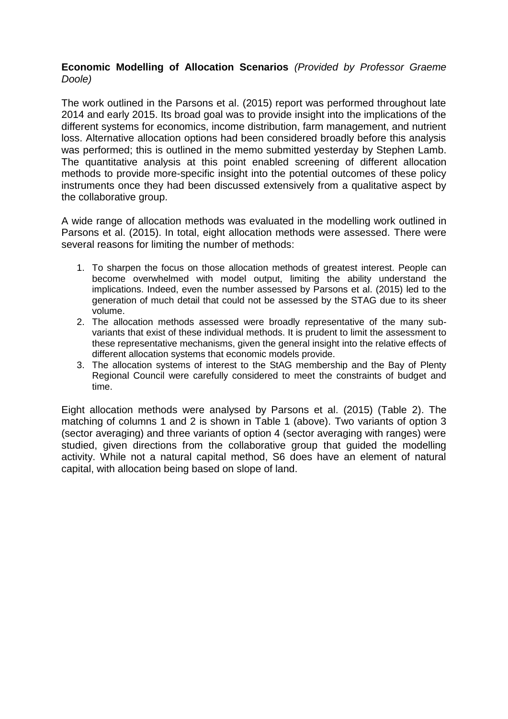## **Economic Modelling of Allocation Scenarios** *(Provided by Professor Graeme Doole)*

The work outlined in the Parsons et al. (2015) report was performed throughout late 2014 and early 2015. Its broad goal was to provide insight into the implications of the different systems for economics, income distribution, farm management, and nutrient loss. Alternative allocation options had been considered broadly before this analysis was performed; this is outlined in the memo submitted yesterday by Stephen Lamb. The quantitative analysis at this point enabled screening of different allocation methods to provide more-specific insight into the potential outcomes of these policy instruments once they had been discussed extensively from a qualitative aspect by the collaborative group.

A wide range of allocation methods was evaluated in the modelling work outlined in Parsons et al. (2015). In total, eight allocation methods were assessed. There were several reasons for limiting the number of methods:

- 1. To sharpen the focus on those allocation methods of greatest interest. People can become overwhelmed with model output, limiting the ability understand the implications. Indeed, even the number assessed by Parsons et al. (2015) led to the generation of much detail that could not be assessed by the STAG due to its sheer volume.
- 2. The allocation methods assessed were broadly representative of the many subvariants that exist of these individual methods. It is prudent to limit the assessment to these representative mechanisms, given the general insight into the relative effects of different allocation systems that economic models provide.
- 3. The allocation systems of interest to the StAG membership and the Bay of Plenty Regional Council were carefully considered to meet the constraints of budget and time.

Eight allocation methods were analysed by Parsons et al. (2015) (Table 2). The matching of columns 1 and 2 is shown in Table 1 (above). Two variants of option 3 (sector averaging) and three variants of option 4 (sector averaging with ranges) were studied, given directions from the collaborative group that guided the modelling activity. While not a natural capital method, S6 does have an element of natural capital, with allocation being based on slope of land.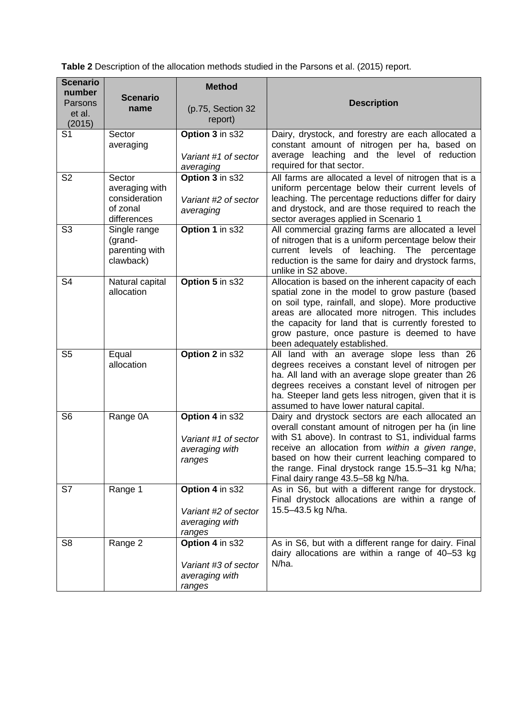**Table 2** Description of the allocation methods studied in the Parsons et al. (2015) report.

| <b>Scenario</b><br>number<br>Parsons<br>et al.<br>(2015) | <b>Scenario</b><br>name                                              | <b>Method</b><br>(p.75, Section 32<br>report)                       | <b>Description</b>                                                                                                                                                                                                                                                                                                                                              |
|----------------------------------------------------------|----------------------------------------------------------------------|---------------------------------------------------------------------|-----------------------------------------------------------------------------------------------------------------------------------------------------------------------------------------------------------------------------------------------------------------------------------------------------------------------------------------------------------------|
| S <sub>1</sub>                                           | Sector<br>averaging                                                  | Option 3 in s32<br>Variant #1 of sector<br>averaging                | Dairy, drystock, and forestry are each allocated a<br>constant amount of nitrogen per ha, based on<br>average leaching and the level of reduction<br>required for that sector.                                                                                                                                                                                  |
| S <sub>2</sub>                                           | Sector<br>averaging with<br>consideration<br>of zonal<br>differences | Option 3 in s32<br>Variant #2 of sector<br>averaging                | All farms are allocated a level of nitrogen that is a<br>uniform percentage below their current levels of<br>leaching. The percentage reductions differ for dairy<br>and drystock, and are those required to reach the<br>sector averages applied in Scenario 1                                                                                                 |
| S <sub>3</sub>                                           | Single range<br>(grand-<br>parenting with<br>clawback)               | Option 1 in s32                                                     | All commercial grazing farms are allocated a level<br>of nitrogen that is a uniform percentage below their<br>current levels of leaching. The percentage<br>reduction is the same for dairy and drystock farms,<br>unlike in S2 above.                                                                                                                          |
| S <sub>4</sub>                                           | Natural capital<br>allocation                                        | Option 5 in s32                                                     | Allocation is based on the inherent capacity of each<br>spatial zone in the model to grow pasture (based<br>on soil type, rainfall, and slope). More productive<br>areas are allocated more nitrogen. This includes<br>the capacity for land that is currently forested to<br>grow pasture, once pasture is deemed to have<br>been adequately established.      |
| S <sub>5</sub>                                           | Equal<br>allocation                                                  | Option 2 in s32                                                     | All land with an average slope less than 26<br>degrees receives a constant level of nitrogen per<br>ha. All land with an average slope greater than 26<br>degrees receives a constant level of nitrogen per<br>ha. Steeper land gets less nitrogen, given that it is<br>assumed to have lower natural capital.                                                  |
| S <sub>6</sub>                                           | Range 0A                                                             | Option 4 in s32<br>Variant #1 of sector<br>averaging with<br>ranges | Dairy and drystock sectors are each allocated an<br>overall constant amount of nitrogen per ha (in line<br>with S1 above). In contrast to S1, individual farms<br>receive an allocation from within a given range,<br>based on how their current leaching compared to<br>the range. Final drystock range 15.5-31 kg N/ha;<br>Final dairy range 43.5-58 kg N/ha. |
| S7                                                       | Range 1                                                              | Option 4 in s32<br>Variant #2 of sector<br>averaging with<br>ranges | As in S6, but with a different range for drystock.<br>Final drystock allocations are within a range of<br>15.5-43.5 kg N/ha.                                                                                                                                                                                                                                    |
| S <sub>8</sub>                                           | Range 2                                                              | Option 4 in s32<br>Variant #3 of sector<br>averaging with<br>ranges | As in S6, but with a different range for dairy. Final<br>dairy allocations are within a range of 40-53 kg<br>N/ha.                                                                                                                                                                                                                                              |